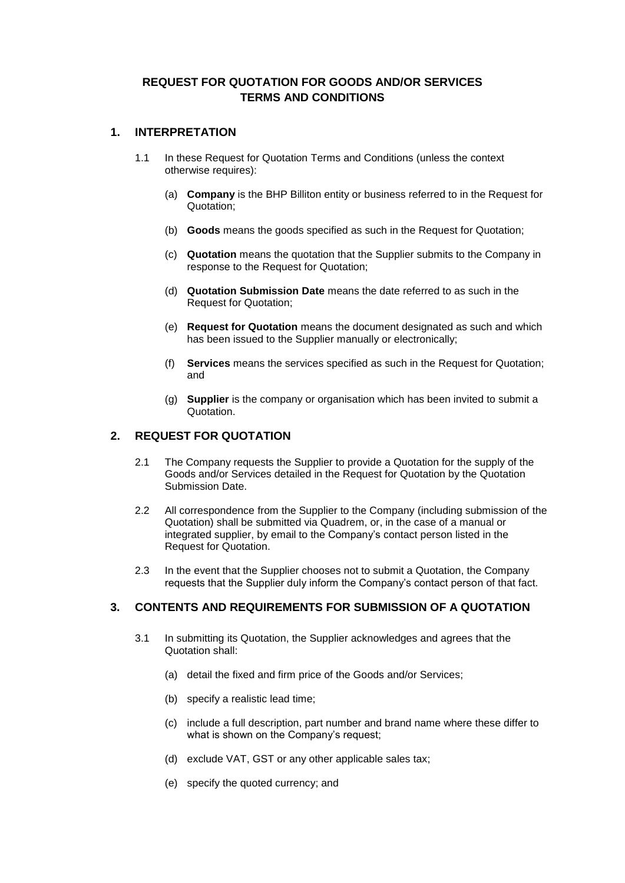# **REQUEST FOR QUOTATION FOR GOODS AND/OR SERVICES TERMS AND CONDITIONS**

### **1. INTERPRETATION**

- 1.1 In these Request for Quotation Terms and Conditions (unless the context otherwise requires):
	- (a) **Company** is the BHP Billiton entity or business referred to in the Request for Quotation;
	- (b) **Goods** means the goods specified as such in the Request for Quotation;
	- (c) **Quotation** means the quotation that the Supplier submits to the Company in response to the Request for Quotation;
	- (d) **Quotation Submission Date** means the date referred to as such in the Request for Quotation;
	- (e) **Request for Quotation** means the document designated as such and which has been issued to the Supplier manually or electronically;
	- (f) **Services** means the services specified as such in the Request for Quotation; and
	- (g) **Supplier** is the company or organisation which has been invited to submit a Quotation.

### **2. REQUEST FOR QUOTATION**

- 2.1 The Company requests the Supplier to provide a Quotation for the supply of the Goods and/or Services detailed in the Request for Quotation by the Quotation Submission Date.
- 2.2 All correspondence from the Supplier to the Company (including submission of the Quotation) shall be submitted via Quadrem, or, in the case of a manual or integrated supplier, by email to the Company's contact person listed in the Request for Quotation.
- 2.3 In the event that the Supplier chooses not to submit a Quotation, the Company requests that the Supplier duly inform the Company's contact person of that fact.

#### **3. CONTENTS AND REQUIREMENTS FOR SUBMISSION OF A QUOTATION**

- 3.1 In submitting its Quotation, the Supplier acknowledges and agrees that the Quotation shall:
	- (a) detail the fixed and firm price of the Goods and/or Services;
	- (b) specify a realistic lead time;
	- (c) include a full description, part number and brand name where these differ to what is shown on the Company's request;
	- (d) exclude VAT, GST or any other applicable sales tax;
	- (e) specify the quoted currency; and